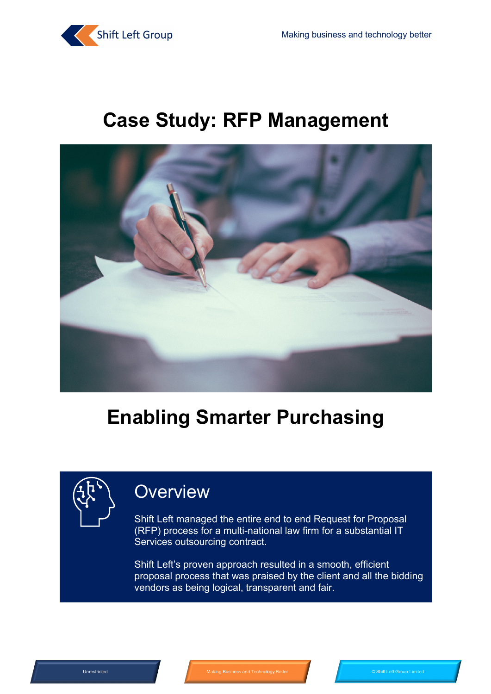

## **Case Study: RFP Management**



## **Enabling Smarter Purchasing**

### **Overview**

Shift Left managed the entire end to end Request for Proposal (RFP) process for a multi-national law firm for a substantial IT Services outsourcing contract.

Shift Left's proven approach resulted in a smooth, efficient proposal process that was praised by the client and all the bidding vendors as being logical, transparent and fair.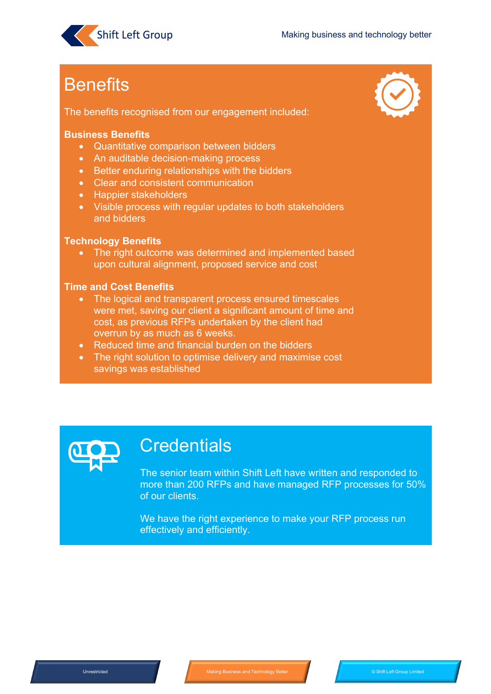

## **Benefits**

The benefits recognised from our engagement included:



#### **Business Benefits**

- Quantitative comparison between bidders
- An auditable decision-making process
- Better enduring relationships with the bidders
- Clear and consistent communication
- Happier stakeholders
- Visible process with regular updates to both stakeholders and bidders

#### **Technology Benefits**

• The right outcome was determined and implemented based upon cultural alignment, proposed service and cost

#### **Time and Cost Benefits**

- The logical and transparent process ensured timescales were met, saving our client a significant amount of time and cost, as previous RFPs undertaken by the client had overrun by as much as 6 weeks.
- Reduced time and financial burden on the bidders
- The right solution to optimise delivery and maximise cost savings was established



### **Credentials**

The senior team within Shift Left have written and responded to more than 200 RFPs and have managed RFP processes for 50% of our clients.

We have the right experience to make your RFP process run effectively and efficiently.